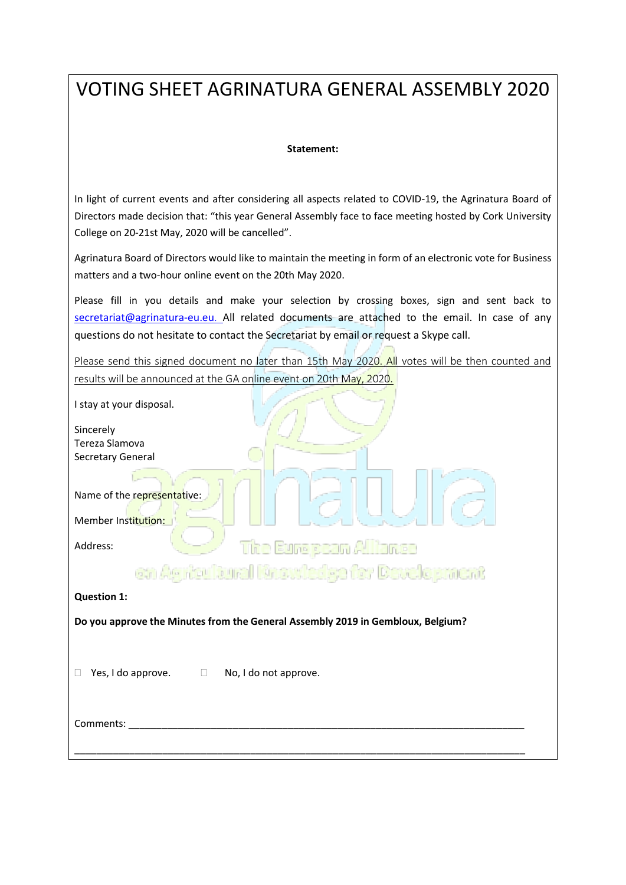## VOTING SHEET AGRINATURA GENERAL ASSEMBLY 2020

## **Statement:**

In light of current events and after considering all aspects related to COVID-19, the Agrinatura Board of Directors made decision that: "this year General Assembly face to face meeting hosted by Cork University College on 20-21st May, 2020 will be cancelled".

Agrinatura Board of Directors would like to maintain the meeting in form of an electronic vote for Business matters and a two-hour online event on the 20th May 2020.

Please fill in you details and make your selection by crossing boxes, sign and sent back to [secretariat@agrinatura-eu.eu](mailto:secretariat@agrinatura-eu.eu). All related documents are attached to the email. In case of any questions do not hesitate to contact the Secretariat by email or request a Skype call.

Please send this signed document no later than 15th May 2020. All votes will be then counted and results will be announced at the GA online event on 20th May, 2020.

| I stay at your disposal.<br>Sincerely<br>Tereza Slamova<br>Secretary General                   |
|------------------------------------------------------------------------------------------------|
| Name of the representative:<br>Member Institution:<br><b>The European Alliance</b><br>Address: |
| on Agricultural Knowledge for Development                                                      |
| <b>Question 1:</b>                                                                             |
| Do you approve the Minutes from the General Assembly 2019 in Gembloux, Belgium?                |
| Yes, I do approve. $\Box$<br>No, I do not approve.<br>$\mathbf{L}$                             |
| Comments:                                                                                      |
|                                                                                                |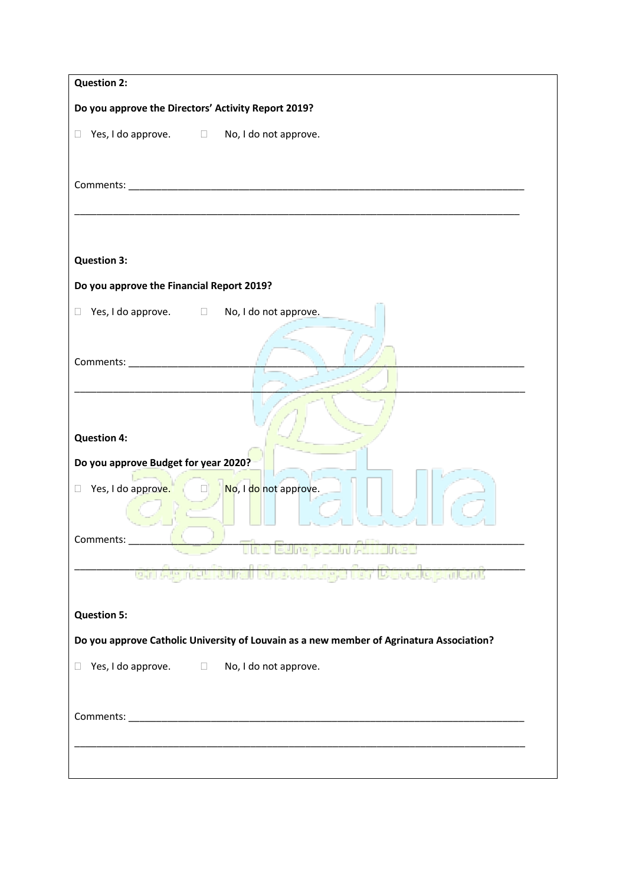| <b>Question 2:</b>                                                                       |
|------------------------------------------------------------------------------------------|
| Do you approve the Directors' Activity Report 2019?                                      |
| $\Box$ Yes, I do approve. $\Box$ No, I do not approve.                                   |
|                                                                                          |
|                                                                                          |
| <b>Question 3:</b>                                                                       |
| Do you approve the Financial Report 2019?                                                |
| Yes, I do approve. □ No, I do not approve.<br>$\Box$                                     |
|                                                                                          |
|                                                                                          |
|                                                                                          |
|                                                                                          |
| <b>Question 4:</b>                                                                       |
| Do you approve Budget for year 2020?                                                     |
| □ Yes, I do approve. □ No, I do not approve.                                             |
| Comments:                                                                                |
| ne European                                                                              |
| <b>MOWIEDGE TOT DEVEIODMENT</b><br>оп жеткелеп                                           |
| <b>Question 5:</b>                                                                       |
| Do you approve Catholic University of Louvain as a new member of Agrinatura Association? |
| Yes, I do approve.<br>No, I do not approve.<br>$\Box$<br>$\Box$                          |
|                                                                                          |
|                                                                                          |
|                                                                                          |